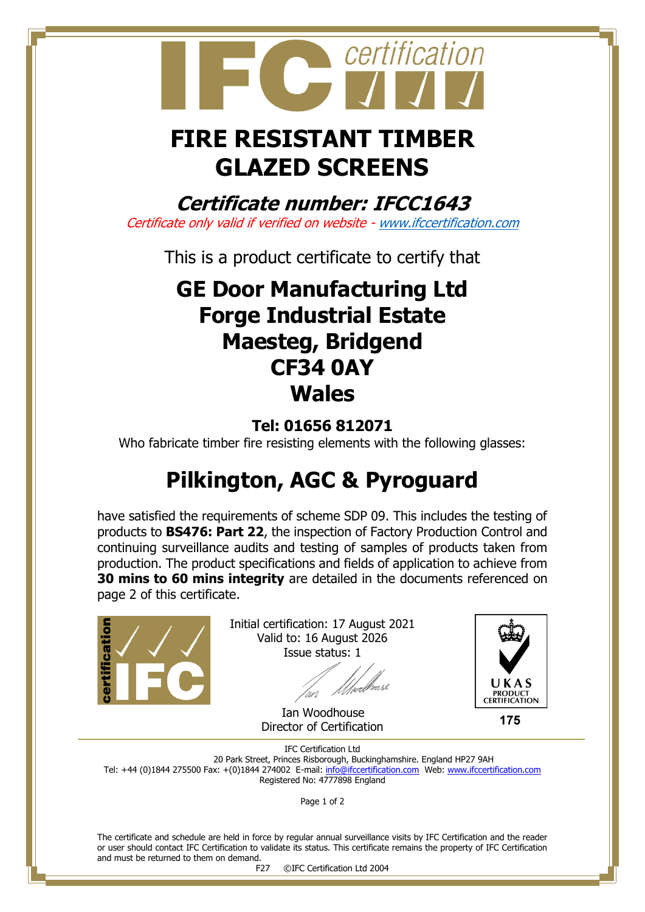

# **FIRE RESISTANT TIMBER GLAZED SCREENS**

**Certificate number: IFCC1643** Certificate only valid if verified on website - [www.ifccertification.com](http://www.ifccertification.com/)

This is a product certificate to certify that

### **GE Door Manufacturing Ltd Forge Industrial Estate Maesteg, Bridgend CF34 0AY Wales**

### **Tel: 01656 812071**

Who fabricate timber fire resisting elements with the following glasses:

## **Pilkington, AGC & Pyroguard**

have satisfied the requirements of scheme SDP 09. This includes the testing of products to **BS476: Part 22**, the inspection of Factory Production Control and continuing surveillance audits and testing of samples of products taken from production. The product specifications and fields of application to achieve from **30 mins to 60 mins integrity** are detailed in the documents referenced on page 2 of this certificate.



Initial certification: 17 August 2021 Valid to: 16 August 2026 Issue status: 1

[well#

 Ian Woodhouse Director of Certification



175

IFC Certification Ltd 20 Park Street, Princes Risborough, Buckinghamshire. England HP27 9AH Tel: +44 (0)1844 275500 Fax: +(0)1844 274002 E-mail[: info@ifccertification.com](mailto:info@ifccertification.com) Web: [www.ifccertification.com](http://www.ifccertification.com/) Registered No: 4777898 England

Page 1 of 2

The certificate and schedule are held in force by regular annual surveillance visits by IFC Certification and the reader or user should contact IFC Certification to validate its status. This certificate remains the property of IFC Certification and must be returned to them on demand.

F27 ©IFC Certification Ltd 2004